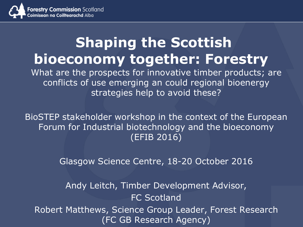

# **Shaping the Scottish bioeconomy together: Forestry**

What are the prospects for innovative timber products; are conflicts of use emerging an could regional bioenergy strategies help to avoid these?

BioSTEP stakeholder workshop in the context of the European Forum for Industrial biotechnology and the bioeconomy (EFIB 2016)

Glasgow Science Centre, 18-20 October 2016

Andy Leitch, Timber Development Advisor, FC Scotland Robert Matthews, Science Group Leader, Forest Research (FC GB Research Agency)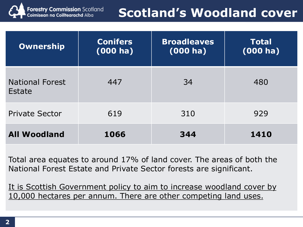# **Scotland's Woodland cover**

| Ownership                        | <b>Conifers</b><br>$(000 \text{ ha})$ | <b>Broadleaves</b><br>(000 ha) | <b>Total</b><br>(000 ha) |
|----------------------------------|---------------------------------------|--------------------------------|--------------------------|
| <b>National Forest</b><br>Estate | 447                                   | 34                             | 480                      |
| <b>Private Sector</b>            | 619                                   | 310                            | 929                      |
| <b>All Woodland</b>              | 1066                                  | 344                            | 1410                     |

Total area equates to around 17% of land cover. The areas of both the National Forest Estate and Private Sector forests are significant.

It is Scottish Government policy to aim to increase woodland cover by 10,000 hectares per annum. There are other competing land uses.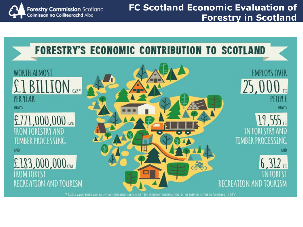

### **FC Scotland Economic Evaluation of Forestry in Scotland**

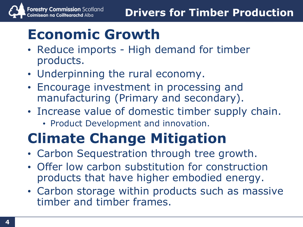# **Economic Growth**

estry Commission Scotland

- Reduce imports High demand for timber products.
- Underpinning the rural economy.
- Encourage investment in processing and manufacturing (Primary and secondary).
- Increase value of domestic timber supply chain.
	- Product Development and innovation.

# **Climate Change Mitigation**

- Carbon Sequestration through tree growth.
- Offer low carbon substitution for construction products that have higher embodied energy.
- Carbon storage within products such as massive timber and timber frames.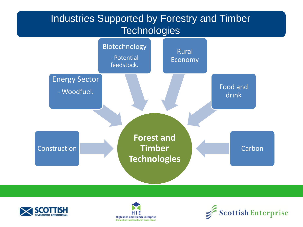## Industries Supported by Forestry and Timber **Technologies**







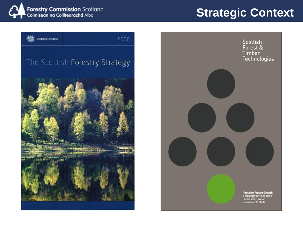

## **Strategic Context**

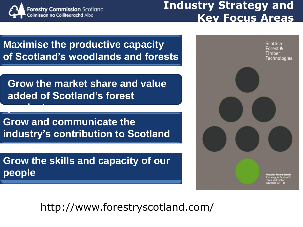

**products** 

## **Industry Strategy and Key Focus Areas**

**Maximise the productive capacity of Scotland's woodlands and forests** 

**Grow the market share and value added of Scotland's forest** 

**Grow and communicate the industry's contribution to Scotland** 

**Grow the skills and capacity of our people** 



http://www.forestryscotland.com/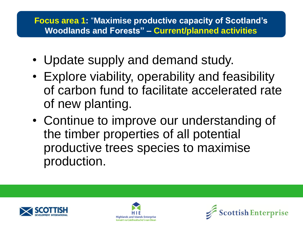### **Focus area 1:** "**Maximise productive capacity of Scotland's Woodlands and Forests" – Current/planned activities**

- Update supply and demand study.
- Explore viability, operability and feasibility of carbon fund to facilitate accelerated rate of new planting.
- Continue to improve our understanding of the timber properties of all potential productive trees species to maximise production.





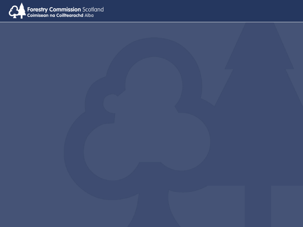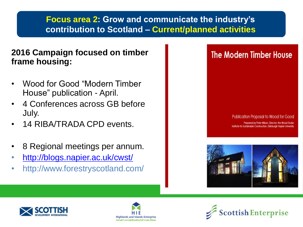### **Focus area 2: Grow and communicate the industry's contribution to Scotland – Current/planned activities**

### **2016 Campaign focused on timber frame housing:**

- Wood for Good "Modern Timber House" publication - April.
- 4 Conferences across GB before July.
- 14 RIBA/TRADA CPD events.
- 8 Regional meetings per annum.
- [http://blogs.napier.ac.uk/cwst/](https://blogs.napier.ac.uk/cwst/)
- http://www.forestryscotland.com/

## The Modern Timber House

#### Publication Proposal to Wood for Good

Prepared by Peter Wilson, Director, the Wood Studio Institute for Sustainable Construction. Edinburgh Napier L







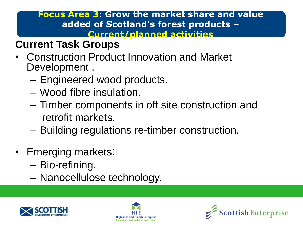### **Focus Area 3: Grow the market share and value added of Scotland's forest products – Current/planned activities**

## **Current Task Groups**

- Construction Product Innovation and Market Development .
	- Engineered wood products.
	- Wood fibre insulation.
	- Timber components in off site construction and retrofit markets.
	- Building regulations re-timber construction.
- Emerging markets:
	- Bio-refining.
	- Nanocellulose technology.





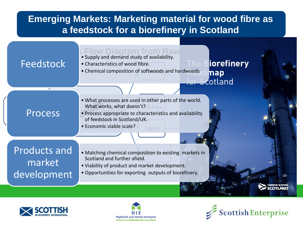### **Emerging Markets: Marketing material for wood fibre as a feedstock for a biorefinery in Scotland**







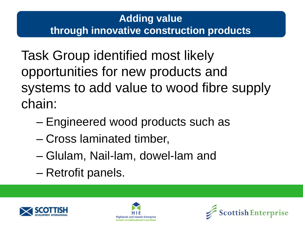## **Adding value through innovative construction products**

Task Group identified most likely opportunities for new products and systems to add value to wood fibre supply chain:

- Engineered wood products such as
- Cross laminated timber,
- Glulam, Nail-lam, dowel-lam and
- Retrofit panels.





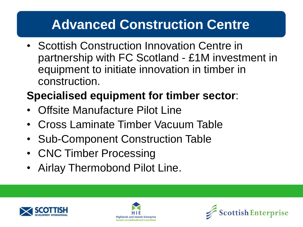# **Advanced Construction Centre**

• Scottish Construction Innovation Centre in partnership with FC Scotland - £1M investment in equipment to initiate innovation in timber in construction.

# **Specialised equipment for timber sector**:

- Offsite Manufacture Pilot Line
- Cross Laminate Timber Vacuum Table
- Sub-Component Construction Table
- CNC Timber Processing
- Airlay Thermobond Pilot Line.





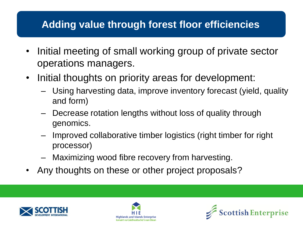## **Adding value through forest floor efficiencies**

- Initial meeting of small working group of private sector operations managers.
- Initial thoughts on priority areas for development:
	- Using harvesting data, improve inventory forecast (yield, quality and form)
	- Decrease rotation lengths without loss of quality through genomics.
	- Improved collaborative timber logistics (right timber for right processor)
	- Maximizing wood fibre recovery from harvesting.
- Any thoughts on these or other project proposals?





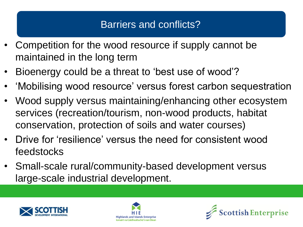## Barriers and conflicts?

- Competition for the wood resource if supply cannot be maintained in the long term
- Bioenergy could be a threat to 'best use of wood'?
- 'Mobilising wood resource' versus forest carbon sequestration
- Wood supply versus maintaining/enhancing other ecosystem services (recreation/tourism, non-wood products, habitat conservation, protection of soils and water courses)
- Drive for 'resilience' versus the need for consistent wood feedstocks
- Small-scale rural/community-based development versus large-scale industrial development.





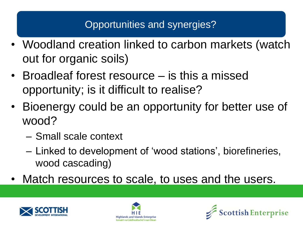## Opportunities and synergies?

- Woodland creation linked to carbon markets (watch out for organic soils)
- Broadleaf forest resource is this a missed opportunity; is it difficult to realise?
- Bioenergy could be an opportunity for better use of wood?
	- Small scale context
	- Linked to development of 'wood stations', biorefineries, wood cascading)
- Match resources to scale, to uses and the users.